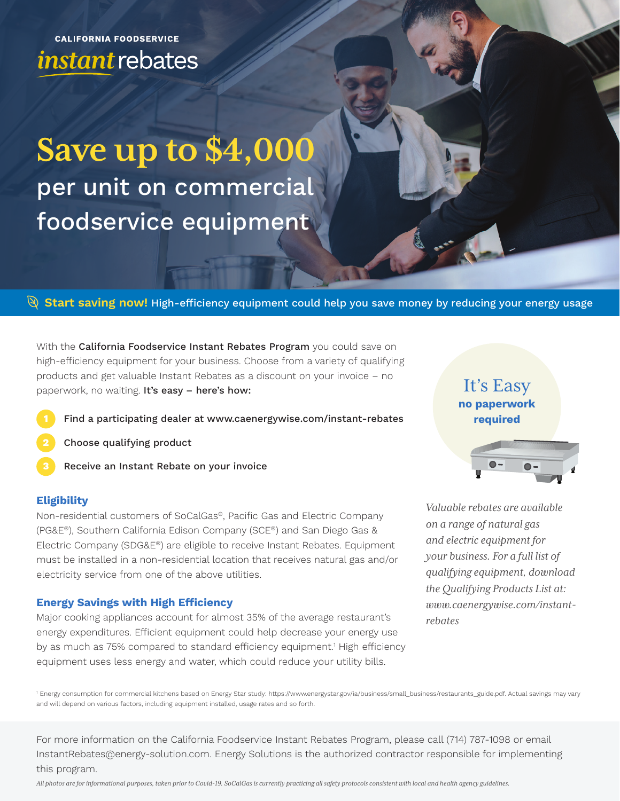**CALIFORNIA FOODSERVICE** instant rebates

# **Save up to \$4,000**  per unit on commercial foodservice equipment

## **Start saving now!** High-efficiency equipment could help you save money by reducing your energy usage

With the California Foodservice Instant Rebates Program you could save on high-efficiency equipment for your business. Choose from a variety of qualifying products and get valuable Instant Rebates as a discount on your invoice – no paperwork, no waiting. It's easy - here's how:

- Find a participating dealer at www.caenergywise.com/instant-rebates
- Choose qualifying product
- Receive an Instant Rebate on your invoice **3**

#### **Eligibility**

Non-residential customers of SoCalGas®, Pacific Gas and Electric Company (PG&E®), Southern California Edison Company (SCE®) and San Diego Gas & Electric Company (SDG&E®) are eligible to receive Instant Rebates. Equipment must be installed in a non-residential location that receives natural gas and/or electricity service from one of the above utilities.

#### **Energy Savings with High Efficiency**

Major cooking appliances account for almost 35% of the average restaurant's energy expenditures. Efficient equipment could help decrease your energy use by as much as 75% compared to standard efficiency equipment.<sup>1</sup> High efficiency equipment uses less energy and water, which could reduce your utility bills.

It's Easy **no paperwork required**

*Valuable rebates are available on a range of natural gas and electric equipment for your business. For a full list of qualifying equipment, download the Qualifying Products List at: www.caenergywise.com/instantrebates*

1 Energy consumption for commercial kitchens based on Energy Star study: https://www.energystar.gov/ia/business/small\_business/restaurants\_guide.pdf. Actual savings may vary and will depend on various factors, including equipment installed, usage rates and so forth.

For more information on the California Foodservice Instant Rebates Program, please call (714) 787-1098 or email InstantRebates@energy-solution.com. Energy Solutions is the authorized contractor responsible for implementing this program.

*All photos are for informational purposes, taken prior to Covid-19. SoCalGas is currently practicing all safety protocols consistent with local and health agency guidelines.*